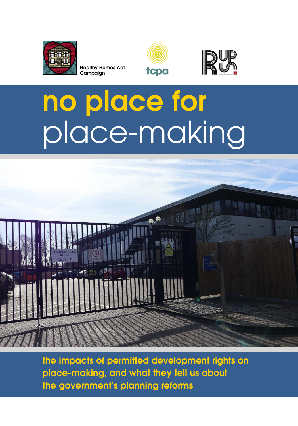

**Healthy Homes Act Campaign**





## **no place for** place-making



**the impacts of permitted development rights on place-making, and what they tell us about the government's planning reforms**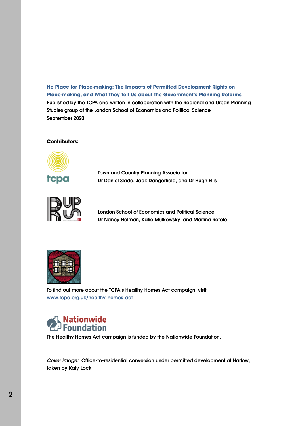**No Place for Place-making: The Impacts of Permitted Development Rights on Place-making, and What They Tell Us about the Government's Planning Reforms Published by the TCPA and written in collaboration with the Regional and Urban Planning Studies group at the London School of Economics and Political Science September 2020**

#### **Contributors:**



**Town and Country Planning Association: Dr Daniel Slade, Jack Dangerfield, and Dr Hugh Ellis**



**London School of Economics and Political Science: Dr Nancy Holman, Katie Mulkowsky, and Martina Rotolo**



**To find out more about the TCPA's Healthy Homes Act campaign, visit: www.tcpa.org.uk/healthy-homes-act**



**The Healthy Homes Act campaign is funded by the Nationwide Foundation.**

**Cover image: Office-to-residential conversion under permitted development at Harlow, taken by Katy Lock**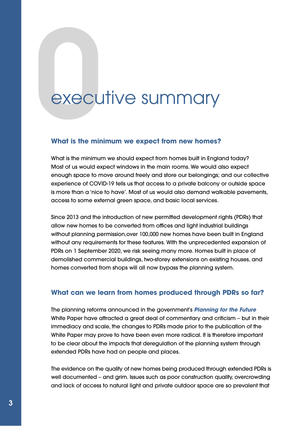### executive summary

#### **What is the minimum we expect from new homes?**

What is the minimum we should expect from homes built in England today? Most of us would expect windows in the main rooms. We would also expect enough space to move around freely and store our belongings; and our collective experience of COVID-19 tells us that access to a private balcony or outside space is more than a 'nice to have'. Most of us would also demand walkable pavements, access to some external green space, and basic local services.

Since 2013 and the introduction of new permitted development rights (PDRs) that allow new homes to be converted from offices and light industrial buildings without planning permission,over 100,000 new homes have been built in England without any requirements for these features. With the unprecedented expansion of PDRs on 1 September 2020, we risk seeing many more. Homes built in place of demolished commercial buildings, two-storey extensions on existing houses, and homes converted from shops will all now bypass the planning system.

#### **What can we learn from homes produced through PDRs so far?**

The planning reforms announced in the government's **[Planning for the Future](https://assets.publishing.service.gov.uk/government/uploads/system/uploads/attachment_data/file/907647/MHCLG-Planning-Consultation.pdf)** White Paper have attracted a great deal of commentary and criticism – but in their immediacy and scale, the changes to PDRs made prior to the publication of the White Paper may prove to have been even more radical. It is therefore important to be clear about the impacts that deregulation of the planning system through extended PDRs have had on people and places.

The evidence on the quality of new homes being produced through extended PDRs is well documented – and grim. Issues such as poor construction quality, overcrowding and lack of access to natural light and private outdoor space are so prevalent that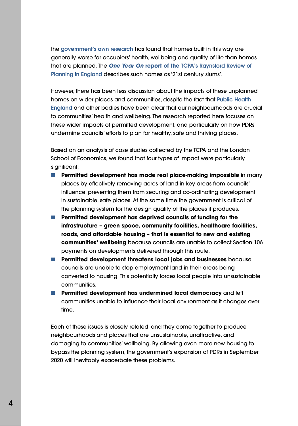the **[government's own research](https://assets.publishing.service.gov.uk/government/uploads/system/uploads/attachment_data/file/902220/Research_report_quality_PDR_homes.pdf)** has found that homes built in this way are generally worse for occupiers' health, wellbeing and quality of life than homes that are planned. The **One Year On report of the [TCPA's Raynsford Review of](https://www.tcpa.org.uk/the-raynsford-review-of-planning-one-year-on) [Planning in England](https://www.tcpa.org.uk/the-raynsford-review-of-planning-one-year-on)** describes such homes as '21st century slums'.

However, there has been less discussion about the impacts of these unplanned homes on wider places and communities, despite the fact that **[Public Health](https://assets.publishing.service.gov.uk/government/uploads/system/uploads/attachment_data/file/729727/spatial_planning_for_health.pdf) [England](https://assets.publishing.service.gov.uk/government/uploads/system/uploads/attachment_data/file/729727/spatial_planning_for_health.pdf)** and other bodies have been clear that our neighbourhoods are crucial to communities' health and wellbeing. The research reported here focuses on these wider impacts of permitted development, and particularly on how PDRs undermine councils' efforts to plan for healthy, safe and thriving places.

Based on an analysis of case studies collected by the TCPA and the London School of Economics, we found that four types of impact were particularly significant:

- **Permitted development has made real place-making impossible** in many places by effectively removing acres of land in key areas from councils' influence, preventing them from securing and co-ordinating development in sustainable, safe places. At the same time the government is critical of the planning system for the design quality of the places it produces.
- **Permitted development has deprived councils of funding for the infrastructure – green space, community facilities, healthcare facilities, roads, and affordable housing – that is essential to new and existing communities' wellbeing** because councils are unable to collect Section 106 payments on developments delivered through this route.
- **Permitted development threatens local jobs and businesses** because councils are unable to stop employment land in their areas being converted to housing. This potentially forces local people into unsustainable communities.
- **■ Permitted development has undermined local democracy** and left communities unable to influence their local environment as it changes over time.

Each of these issues is closely related, and they come together to produce neighbourhoods and places that are unsustainable, unattractive, and damaging to communities' wellbeing. By allowing even more new housing to bypass the planning system, the government's expansion of PDRs in September 2020 will inevitably exacerbate these problems.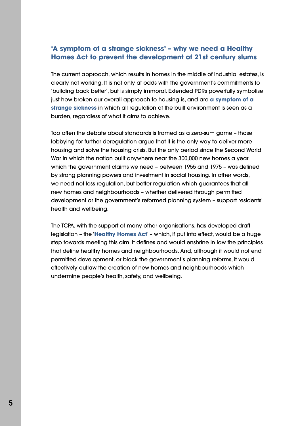#### **'A symptom of a strange sickness' – why we need a Healthy Homes Act to prevent the development of 21st century slums**

The current approach, which results in homes in the middle of industrial estates, is clearly not working. It is not only at odds with the government's commitments to 'building back better', but is simply immoral. Extended PDRs powerfully symbolise just how broken our overall approach to housing is, and are **[a symptom of a](https://www.local.gov.uk/dr-daniel-slade-policy-and-projects-manager-town-country-planning-association) [strange sickness](https://www.local.gov.uk/dr-daniel-slade-policy-and-projects-manager-town-country-planning-association)** in which all regulation of the built environment is seen as a burden, regardless of what it aims to achieve.

Too often the debate about standards is framed as a zero-sum game – those lobbying for further deregulation argue that it is the only way to deliver more housing and solve the housing crisis. But the only period since the Second World War in which the nation built anywhere near the 300,000 new homes a year which the government claims we need – between 1955 and 1975 – was defined by strong planning powers and investment in social housing. In other words, we need not less regulation, but better regulation which guarantees that all new homes and neighbourhoods – whether delivered through permitted development or the government's reformed planning system – support residents' health and wellbeing.

The TCPA, with the support of many other organisations, has developed draft legislation – the '**[Healthy Homes Act](https://www.tcpa.org.uk/healthy-homes-act)**' – which, if put into effect, would be a huge step towards meeting this aim. It defines and would enshrine in law the principles that define healthy homes and neighbourhoods. And, although it would not end permitted development, or block the government's planning reforms, it would effectively outlaw the creation of new homes and neighbourhoods which undermine people's health, safety, and wellbeing.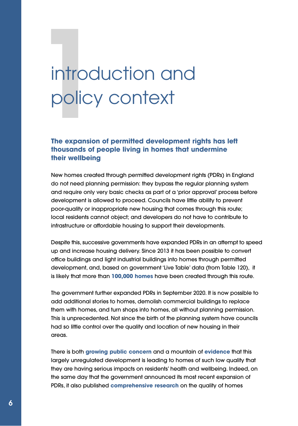# **11100**<br>**11100**<br>The expansion introduction and policy context

#### **The expansion of permitted development rights has left thousands of people living in homes that undermine their wellbeing**

New homes created through permitted development rights (PDRs) in England do not need planning permission: they bypass the regular planning system and require only very basic checks as part of a 'prior approval' process before development is allowed to proceed. Councils have little ability to prevent poor-quality or inappropriate new housing that comes through this route; local residents cannot object; and developers do not have to contribute to infrastructure or affordable housing to support their developments.

Despite this, successive governments have expanded PDRs in an attempt to speed up and increase housing delivery. Since 2013 it has been possible to convert office buildings and light industrial buildings into homes through permitted development, and, based on government 'Live Table' data (from Table 120), it is likely that more than **[100,000 homes](https://assets.publishing.service.gov.uk/government/uploads/system/uploads/attachment_data/file/850827/Live_Table_120.xls)** have been created through this route.

The government further expanded PDRs in September 2020. It is now possible to add additional stories to homes, demolish commercial buildings to replace them with homes, and turn shops into homes, all without planning permission. This is unprecedented. Not since the birth of the planning system have councils had so little control over the quality and location of new housing in their areas.

There is both **[growing public concern](https://blog.shelter.org.uk/2019/07/quality-versus-quantity-are-permitted-development-rights-really-the-answer-to-the-housing-crisis/)** and a mountain of **[evidence](https://www.rics.org/globalassets/rics-website/media/knowledge/research/research-reports/assessing-the-impacts-of-extending-permitted-development-rights-to-office-to-residential-change-of-use-in-england-rics.pdf)** that this largely unregulated development is leading to homes of such low quality that they are having serious impacts on residents' health and wellbeing. Indeed, on the same day that the government announced its most recent expansion of PDRs, it also published **[comprehensive research](https://assets.publishing.service.gov.uk/government/uploads/system/uploads/attachment_data/file/902220/Research_report_quality_PDR_homes.pdf)** on the quality of homes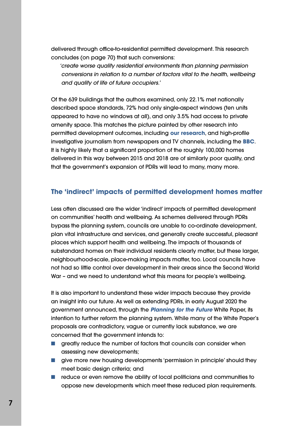delivered through office-to-residential permitted development. This research concludes (on page 70) that such conversions:

'create worse quality residential environments than planning permission conversions in relation to a number of factors vital to the health, wellbeing and quality of life of future occupiers.'

Of the 639 buildings that the authors examined, only 22.1% met nationally described space standards, 72% had only single-aspect windows (ten units appeared to have no windows at all), and only 3.5% had access to private amenity space. This matches the picture painted by other research into permitted development outcomes, including **[our research](https://www.tcpa.org.uk/Handlers/Download.ashx?IDMF=30864427-d8dc-4b0b-88ed-c6e0f08c0edd)**, and high-profile investigative journalism from newspapers and TV channels, including the **[BBC](https://www.bbc.co.uk/programmes/m000f1wr)**. It is highly likely that a significant proportion of the roughly 100,000 homes delivered in this way between 2015 and 2018 are of similarly poor quality, and that the government's expansion of PDRs will lead to many, many more.

#### **The 'indirect' impacts of permitted development homes matter**

Less often discussed are the wider 'indirect' impacts of permitted development on communities' health and wellbeing. As schemes delivered through PDRs bypass the planning system, councils are unable to co-ordinate development, plan vital infrastructure and services, and generally create successful, pleasant places which support health and wellbeing. The impacts of thousands of substandard homes on their individual residents clearly matter, but these larger, neighbourhood-scale, place-making impacts matter, too. Local councils have not had so little control over development in their areas since the Second World War – and we need to understand what this means for people's wellbeing.

It is also important to understand these wider impacts because they provide an insight into our future. As well as extending PDRs, in early August 2020 the government announced, through the **[Planning for the Future](https://assets.publishing.service.gov.uk/government/uploads/system/uploads/attachment_data/file/907647/MHCLG-Planning-Consultation.pdf)** White Paper, its intention to further reform the planning system. While many of the White Paper's proposals are contradictory, vague or currently lack substance, we are concerned that the government intends to:

- areatly reduce the number of factors that councils can consider when assessing new developments;
- give more new housing developments 'permission in principle' should they meet basic design criteria; and
- reduce or even remove the ability of local politicians and communities to oppose new developments which meet these reduced plan requirements.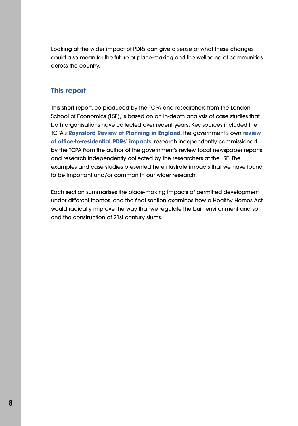Looking at the wider impact of PDRs can give a sense of what these changes could also mean for the future of place-making and the wellbeing of communities across the country.

#### **This report**

This short report, co-produced by the TCPA and researchers from the London School of Economics (LSE), is based on an in-depth analysis of case studies that both organisations have collected over recent years. Key sources included the TCPA's **[Raynsford Review of Planning in England](https://www.tcpa.org.uk/Handlers/Download.ashx?IDMF=30864427-d8dc-4b0b-88ed-c6e0f08c0edd)**, the government's own **[review](https://assets.publishing.service.gov.uk/government/uploads/system/uploads/attachment_data/file/902220/Research_report_quality_PDR_homes.pdf) [of office-to-residential PDRs' impacts](https://assets.publishing.service.gov.uk/government/uploads/system/uploads/attachment_data/file/902220/Research_report_quality_PDR_homes.pdf)**, research independently commissioned by the TCPA from the author of the government's review, local newspaper reports, and research independently collected by the researchers at the LSE. The examples and case studies presented here illustrate impacts that we have found to be important and/or common in our wider research.

Each section summarises the place-making impacts of permitted development under different themes, and the final section examines how a Healthy Homes Act would radically improve the way that we regulate the built environment and so end the construction of 21st century slums.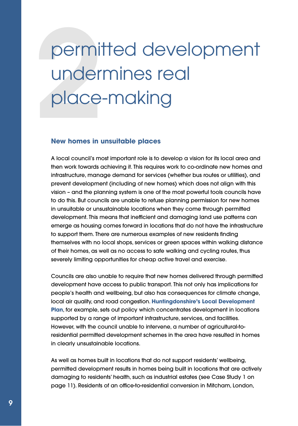## **222 Derminal**<br>222 Derminal<br>222 New bornes in 1 permitted development undermines real place-making

#### **New homes in unsuitable places**

A local council's most important role is to develop a vision for its local area and then work towards achieving it. This requires work to co-ordinate new homes and infrastructure, manage demand for services (whether bus routes or utilities), and prevent development (including of new homes) which does not align with this vision – and the planning system is one of the most powerful tools councils have to do this. But councils are unable to refuse planning permission for new homes in unsuitable or unsustainable locations when they come through permitted development. This means that inefficient and damaging land use patterns can emerge as housing comes forward in locations that do not have the infrastructure to support them. There are numerous examples of new residents finding themselves with no local shops, services or green spaces within walking distance of their homes, as well as no access to safe walking and cycling routes, thus severely limiting opportunities for cheap active travel and exercise.

Councils are also unable to require that new homes delivered through permitted development have access to public transport. This not only has implications for people's health and wellbeing, but also has consequences for climate change, local air quality, and road congestion. **[Huntingdonshire's Local Development](https://assets.publishing.service.gov.uk/government/uploads/system/uploads/attachment_data/file/902220/Research_report_quality_PDR_homes.pdf) [Plan](https://assets.publishing.service.gov.uk/government/uploads/system/uploads/attachment_data/file/902220/Research_report_quality_PDR_homes.pdf)**, for example, sets out policy which concentrates development in locations supported by a range of important infrastructure, services, and facilities. However, with the council unable to intervene, a number of agricultural-toresidential permitted development schemes in the area have resulted in homes in clearly unsustainable locations.

As well as homes built in locations that do not support residents' wellbeing, permitted development results in homes being built in locations that are actively damaging to residents' health, such as industrial estates (see Case Study 1 on page 11). Residents of an office-to-residential conversion in Mitcham, London,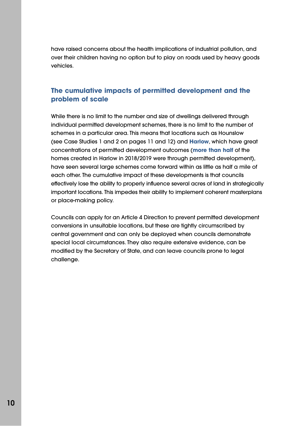have raised concerns about the health implications of industrial pollution, and over their children having no option but to play on roads used by heavy goods vehicles.

#### **The cumulative impacts of permitted development and the problem of scale**

While there is no limit to the number and size of dwellings delivered through individual permitted development schemes, there is no limit to the number of schemes in a particular area. This means that locations such as Hounslow (see Case Studies 1 and 2 on pages 11 and 12) and **[Harlow](https://www.theguardian.com/society/2019/mar/16/is-harlow-being-used-to-socially-cleanse-london)**, which have great concentrations of permitted development outcomes (**[more than half](https://www.architectsjournal.co.uk/news/office-to-resi-conversions-new-figures-show-worst-areas)** of the homes created in Harlow in 2018/2019 were through permitted development), have seen several large schemes come forward within as little as half a mile of each other. The cumulative impact of these developments is that councils effectively lose the ability to properly influence several acres of land in strategically important locations. This impedes their ability to implement coherent masterplans or place-making policy.

Councils can apply for an Article 4 Direction to prevent permitted development conversions in unsuitable locations, but these are tightly circumscribed by central government and can only be deployed when councils demonstrate special local circumstances. They also require extensive evidence, can be modified by the Secretary of State, and can leave councils prone to legal challenge.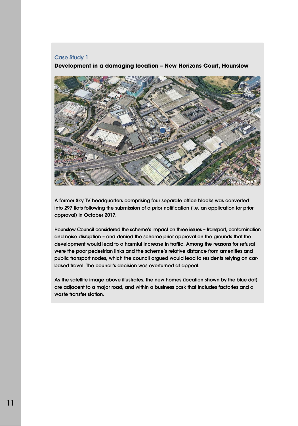#### **Case Study 1**

**Development in a damaging location – New Horizons Court, Hounslow** 



**A former Sky TV headquarters comprising four separate office blocks was converted into 297 flats following the submission of a prior notification (i.e. an application for prior approval) in October 2017.**

**Hounslow Council considered the scheme's impact on three issues – transport, contamination and noise disruption – and denied the scheme prior approval on the grounds that the development would lead to a harmful increase in traffic. Among the reasons for refusal were the poor pedestrian links and the scheme's relative distance from amenities and public transport nodes, which the council argued would lead to residents relying on carbased travel. The council's decision was overturned at appeal.**

**As the satellite image above illustrates, the new homes (location** shown by the blue **dot) are adjacent to a major road, and within a business park that includes factories and a waste transfer station**.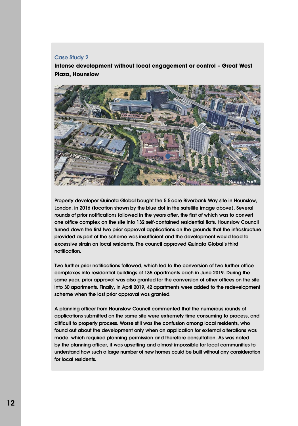#### **Case Study 2**

**Intense development without local engagement or control – Great West Plaza, Hounslow** 



**Property developer Quinata Global bought the 5.5 acre Riverbank Way site in Hounslow, London, in 2016 (location** shown by the blue **dot in the satellite image above). Several rounds of prior notifications followed in the years after, the first of which was to convert one office complex on the site into 132 self-contained residential flats. Hounslow Council turned down the first two prior approval applications on the grounds that the infrastructure provided as part of the scheme was insufficient and the development would lead to excessive strain on local residents. The council approved Quinata Global's third notification.**

**Two further prior notifications followed, which led to the conversion of two further office complexes into residential buildings of 135 apartments each in June 2019. During the same year, prior approval was also granted for the conversion of other offices on the site into 30 apartments. Finally, in April 2019, 42 apartments were added to the redevelopment scheme when the last prior approval was granted.**

**A planning officer from Hounslow Council commented that the numerous rounds of applications submitted on the same site were extremely time consuming to process, and difficult to properly process. Worse still was the confusion among local residents, who found out about the development only when an application for external alterations was made, which required planning permission and therefore consultation. As was noted by the planning officer, it was upsetting and almost impossible for local communities to understand how such a large number of new homes could be built without any consideration for local residents.**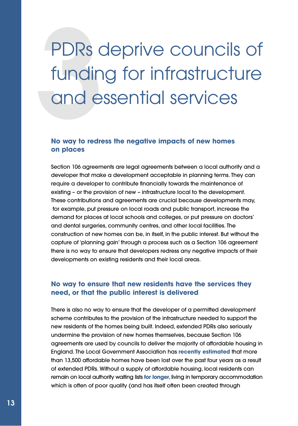## PDRs of<br>fundin<br>and e PDRs deprive councils of funding for infrastructure and essential services

#### **No way to redress the negative impacts of new homes on places**

Section 106 agreements are legal agreements between a local authority and a developer that make a development acceptable in planning terms. They can require a developer to contribute financially towards the maintenance of existing – or the provision of new – infrastructure local to the development. These contributions and agreements are crucial because developments may, for example, put pressure on local roads and public transport, increase the demand for places at local schools and colleges, or put pressure on doctors' and dental surgeries, community centres, and other local facilities. The construction of new homes can be, in itself, in the public interest. But without the capture of 'planning gain' through a process such as a Section 106 agreement there is no way to ensure that developers redress any negative impacts of their developments on existing residents and their local areas.

#### **No way to ensure that new residents have the services they need, or that the public interest is delivered**

There is also no way to ensure that the developer of a permitted development scheme contributes to the provision of the infrastructure needed to support the new residents of the homes being built. Indeed, extended PDRs also seriously undermine the provision of new homes themselves, because Section 106 agreements are used by councils to deliver the majority of affordable housing in England. The Local Government Association has **[recently estimated](https://www.local.gov.uk/lga-over-13500-affordable-homes-lost-through-office-conversions)** that more than 13,500 affordable homes have been lost over the past four years as a result of extended PDRs. Without a supply of affordable housing, local residents can remain on local authority waiting lists **[for longer](https://www.bbc.co.uk/news/education-44413766)**, living in temporary accommodation which is often of poor quality (and has itself often been created through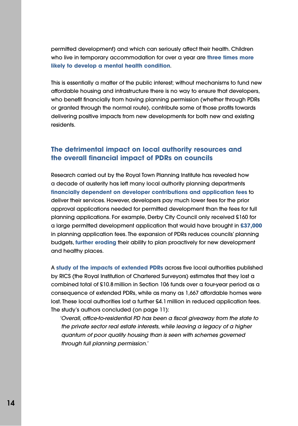permitted development) and which can seriously affect their health. Children who live in temporary accommodation for over a year are **[three times more](https://england.shelter.org.uk/__data/assets/pdf_file/0016/39202/Chance_of_a_Lifetime.pdf) [likely to develop a mental health condition](https://england.shelter.org.uk/__data/assets/pdf_file/0016/39202/Chance_of_a_Lifetime.pdf)**.

This is essentially a matter of the public interest; without mechanisms to fund new affordable housing and infrastructure there is no way to ensure that developers, who benefit financially from having planning permission (whether through PDRs or granted through the normal route), contribute some of those profits towards delivering positive impacts from new developments for both new and existing residents.

#### **The detrimental impact on local authority resources and the overall financial impact of PDRs on councils**

Research carried out by the Royal Town Planning Institute has revealed how a decade of austerity has left many local authority planning departments **[financially dependent on developer contributions and application fees](https://www.rtpi.org.uk/resourcing2019#_Toc46411964)** to deliver their services. However, developers pay much lower fees for the prior approval applications needed for permitted development than the fees for full planning applications. For example, Derby City Council only received £160 for a large permitted development application that would have brought in **[£37,000](https://assets.publishing.service.gov.uk/government/uploads/system/uploads/attachment_data/file/902220/Research_report_quality_PDR_homes.pdf)** in planning application fees. The expansion of PDRs reduces councils' planning budgets, **[further eroding](https://www.rtpi.org.uk/research/2019/january/serving-the-public-interest-uk-planning-services-in-an-age-of-outsourcing/)** their ability to plan proactively for new development and healthy places.

A **[study of the impacts of extended PDRs](https://www.rics.org/globalassets/rics-website/media/knowledge/research/research-reports/assessing-the-impacts-of-extending-permitted-development-rights-to-office-to-residential-change-of-use-in-england-rics.pdf)** across five local authorities published by RICS (the Royal Institution of Chartered Surveyors) estimates that they lost a combined total of £10.8 million in Section 106 funds over a four-year period as a consequence of extended PDRs, while as many as 1,667 affordable homes were lost. These local authorities lost a further £4.1 million in reduced application fees. The study's authors concluded (on page 11):

'Overall, office-to-residential PD has been a fiscal giveaway from the state to the private sector real estate interests, while leaving a legacy of a higher quantum of poor quality housing than is seen with schemes governed through full planning permission.'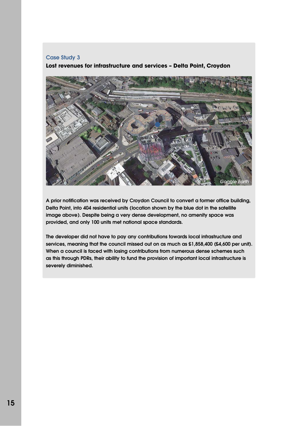#### **Case Study 3**

**Lost revenues for infrastructure and services – Delta Point, Croydon** 



**A prior notification was received by Croydon Council to convert a former office building, Delta Point, into 404 residential units (location** shown by the blue **dot in the satellite image above). Despite being a very dense development, no amenity space was provided, and only 100 units met national space standards.**

**The developer did not have to pay any contributions towards local infrastructure and services, meaning that the council missed out on as much as £1,858,400 (£4,600 per unit). When a council is faced with losing contributions from numerous dense schemes such as this through PDRs, their ability to fund the provision of important local infrastructure is severely diminished.**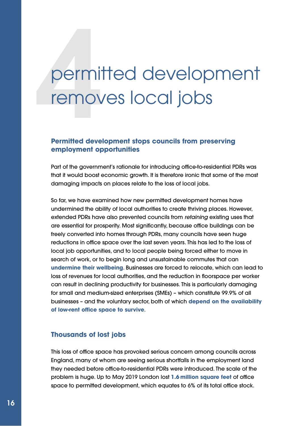# **1**<br> **14**<br> **14**<br> **144**<br> **1444**<br> **1444**<br> **1444**<br> **1444**<br> **1444** permitted development removes local jobs

#### **Permitted development stops councils from preserving employment opportunities**

Part of the government's rationale for introducing office-to-residential PDRs was that it would boost economic growth. It is therefore ironic that some of the most damaging impacts on places relate to the loss of local jobs.

So far, we have examined how new permitted development homes have undermined the ability of local authorities to create thriving places. However, extended PDRs have also prevented councils from retaining existing uses that are essential for prosperity. Most significantly, because office buildings can be freely converted into homes through PDRs, many councils have seen huge reductions in office space over the last seven years. This has led to the loss of local job opportunities, and to local people being forced either to move in search of work, or to begin long and unsustainable commutes that can **[undermine their wellbeing](https://www.nhs.uk/news/lifestyle-and-exercise/being-sick-of-the-daily-commute-could-be-affecting-your-health)**. Businesses are forced to relocate, which can lead to loss of revenues for local authorities, and the reduction in floorspace per worker can result in declining productivity for businesses. This is particularly damaging for small and medium-sized enterprises (SMEs) – which constitute 99.9% of all businesses – and the voluntary sector, both of which **[depend on the availability](https://www.hertfordshirelep.com/media/7128/loss-of-employment-space-in-hertfordshire-february-2019.pdf) [of low-rent office space to survive](https://www.hertfordshirelep.com/media/7128/loss-of-employment-space-in-hertfordshire-february-2019.pdf)**.

#### **Thousands of lost jobs**

This loss of office space has provoked serious concern among councils across England, many of whom are seeing serious shortfalls in the employment land they needed before office-to-residential PDRs were introduced. The scale of the problem is huge. Up to May 2019 London lost **[1.6 million square feet](https://www.london.gov.uk/sites/default/files/slums-of-the-future-permitted-development-conversions-in-london-by-tom-copley-am.pdf)** of office space to permitted development, which equates to 6% of its total office stock.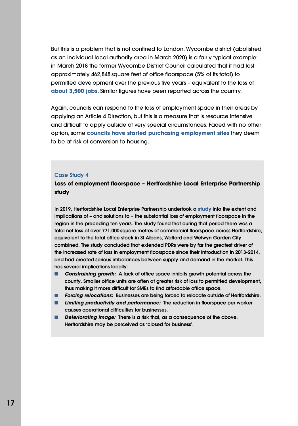But this is a problem that is not confined to London. Wycombe district (abolished as an individual local authority area in March 2020) is a fairly typical example: in March 2018 the former Wycombe District Council calculated that it had lost approximately 462,848 square feet of office floorspace (5% of its total) to permitted development over the previous five years – equivalent to the loss of **[about 3,500 jobs](https://www.wycombe.gov.uk/uploads/public/documents/Planning/Planning-policy/Topic-based/Justification-Report-final-with-appendices.pdf)**. Similar figures have been reported across the country.

Again, councils can respond to the loss of employment space in their areas by applying an Article 4 Direction, but this is a measure that is resource intensive and difficult to apply outside of very special circumstances. Faced with no other option, some **[councils have started purchasing employment sites](https://www.hertfordshiremercury.co.uk/news/hertfordshire-news/hertfordshire-county-council-invests-28m-3903088)** they deem to be at risk of conversion to housing.

#### **Case Study 4**

#### **Loss of employment floorspace – Hertfordshire Local Enterprise Partnership study**

**In 2019, Hertfordshire Local Enterprise Partnership undertook a [study](https://www.hertfordshirelep.com/media/7128/loss-of-employment-space-in-hertfordshire-february-2019.pdf) into the extent and implications of – and solutions to** – **the substantial loss of employment floorspace in the region in the preceding ten years. The study found that during that period there was a total net loss of over 771,000 square metres of commercial floorspace across Hertfordshire, equivalent to the total office stock in St Albans, Watford and Welwyn Garden City combined. The study concluded that extended PDRs were by far the greatest driver of the increased rate of loss in employment floorspace since their introduction in 2013-2014, and had created serious imbalances between supply and demand in the market. This has several implications locally:**

- **Constraining growth:** A lack of office space inhibits growth potential across the **county. Smaller office units are often at greater risk of loss to permitted development, thus making it more difficult for SMEs to find affordable office space.**
- **Forcing relocations: Businesses are being forced to relocate outside of Hertfordshire.**
- **Limiting productivity and performance:** The reduction in floorspace per worker **causes operational difficulties for businesses.**
- **Deteriorating image: There is a risk that, as a consequence of the above, Hertfordshire may be perceived as 'closed for business'.**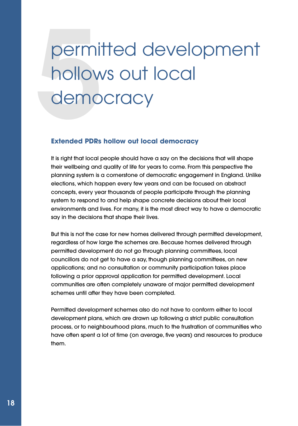## **perminded**<br>**5**<br>Extended PDPs permitted development hollows out local democracy

#### **Extended PDRs hollow out local democracy**

It is right that local people should have a say on the decisions that will shape their wellbeing and quality of life for years to come. From this perspective the planning system is a cornerstone of democratic engagement in England. Unlike elections, which happen every few years and can be focused on abstract concepts, every year thousands of people participate through the planning system to respond to and help shape concrete decisions about their local environments and lives. For many, it is the most direct way to have a democratic say in the decisions that shape their lives.

But this is not the case for new homes delivered through permitted development, regardless of how large the schemes are. Because homes delivered through permitted development do not go through planning committees, local councillors do not get to have a say, though planning committees, on new applications; and no consultation or community participation takes place following a prior approval application for permitted development. Local communities are often completely unaware of major permitted development schemes until after they have been completed.

Permitted development schemes also do not have to conform either to local development plans, which are drawn up following a strict public consultation process, or to neighbourhood plans, much to the frustration of communities who have often spent a lot of time (on average, five years) and resources to produce them.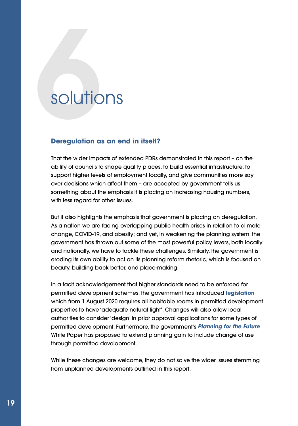### **6**solutions

#### **Deregulation as an end in itself?**

That the wider impacts of extended PDRs demonstrated in this report – on the ability of councils to shape quality places, to build essential infrastructure, to support higher levels of employment locally, and give communities more say over decisions which affect them – are accepted by government tells us something about the emphasis it is placing on increasing housing numbers, with less reaard for other issues.

But it also highlights the emphasis that government is placing on deregulation. As a nation we are facing overlapping public health crises in relation to climate change, COVID-19, and obesity; and yet, in weakening the planning system, the government has thrown out some of the most powerful policy levers, both locally and nationally, we have to tackle these challenges. Similarly, the government is eroding its own ability to act on its planning reform rhetoric, which is focused on beauty, building back better, and place-making.

In a tacit acknowledgement that higher standards need to be enforced for permitted development schemes, the government has introduced **[legislation](https://www.legislation.gov.uk/uksi/2020/632/contents/made)** which from 1 August 2020 requires all habitable rooms in permitted development properties to have 'adequate natural light'. Changes will also allow local authorities to consider 'design' in prior approval applications for some types of permitted development. Furthermore, the government's **[Planning for the Future](https://assets.publishing.service.gov.uk/government/uploads/system/uploads/attachment_data/file/907647/MHCLG-Planning-Consultation.pdf)** White Paper has proposed to extend planning gain to include change of use through permitted development.

While these changes are welcome, they do not solve the wider issues stemming from unplanned developments outlined in this report.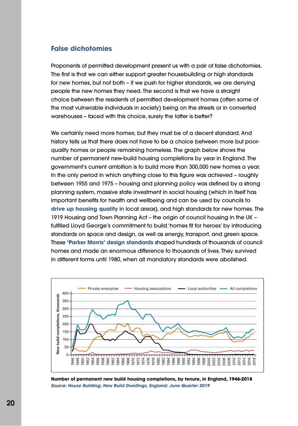#### **False dichotomies**

Proponents of permitted development present us with a pair of false dichotomies. The first is that we can either support greater housebuilding or high standards for new homes, but not both – if we push for higher standards, we are denying people the new homes they need. The second is that we have a straight choice between the residents of permitted development homes (often some of the most vulnerable individuals in society) being on the streets or in converted warehouses – faced with this choice, surely the latter is better?

We certainly need more homes; but they must be of a decent standard. And history tells us that there does not have to be a choice between more but poorquality homes or people remaining homeless. The graph below shows the number of permanent new-build housing completions by year in England. The government's current ambition is to build more than 300,000 new homes a year. In the only period in which anything close to this figure was achieved – roughly between 1955 and 1975 – housing and planning policy was defined by a strong planning system, massive state investment in social housing (which in itself has important benefits for health and wellbeing and can be used by councils to **[drive up housing quality](https://apse.org.uk/apse/assets/File/At%20a%20Crossroads%20Complete%20Version(2).pdf)** in local areas), and high standards for new homes. The 1919 Housing and Town Planning Act – the origin of council housing in the UK – fulfilled Lloyd George's commitment to build 'homes fit for heroes' by introducing standards on space and design, as well as energy, transport, and green space. These **['Parker Morris' design standards](https://www.tcpa.org.uk/blog/the-rise-and-fall-of-housing-standards)** shaped hundreds of thousands of council homes and made an enormous difference to thousands of lives. They survived in different forms until 1980, when all mandatory standards were abolished.



**Number of permanent new build housing completions, by tenure, in England, 1946-2018** Source: **[House Building; New Build Dwellings,](https://assets.publishing.service.gov.uk/government/uploads/system/uploads/attachment_data/file/835887/House_Building_Release_June_2019.pdf) England: June Quarter 2019**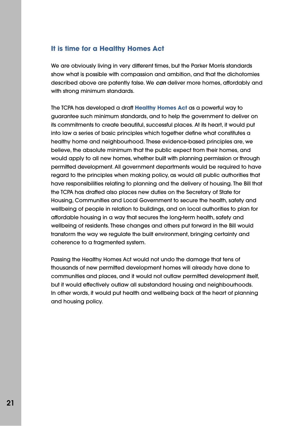#### **It is time for a Healthy Homes Act**

We are obviously living in very different times, but the Parker Morris standards show what is possible with compassion and ambition, and that the dichotomies described above are patently false. We **can** deliver more homes, affordably and with strong minimum standards.

The TCPA has developed a draft **[Healthy Homes Act](https://www.tcpa.org.uk/healthy-homes-act)** as a powerful way to guarantee such minimum standards, and to help the government to deliver on its commitments to create beautiful, successful places. At its heart, it would put into law a series of basic principles which together define what constitutes a healthy home and neighbourhood. These evidence-based principles are, we believe, the absolute minimum that the public expect from their homes, and would apply to all new homes, whether built with planning permission or through permitted development. All government departments would be required to have regard to the principles when making policy, as would all public authorities that have responsibilities relating to planning and the delivery of housing. The Bill that the TCPA has drafted also places new duties on the Secretary of State for Housing, Communities and Local Government to secure the health, safety and wellbeing of people in relation to buildings, and on local authorities to plan for affordable housing in a way that secures the long-term health, safety and wellbeing of residents. These changes and others put forward in the Bill would transform the way we regulate the built environment, bringing certainty and coherence to a fragmented system.

Passing the Healthy Homes Act would not undo the damage that tens of thousands of new permitted development homes will already have done to communities and places, and it would not outlaw permitted development itself, but it would effectively outlaw all substandard housing and neighbourhoods. In other words, it would put health and wellbeing back at the heart of planning and housing policy.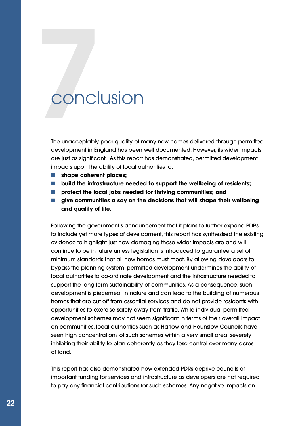### **7**conclusion

The unacceptably poor quality of many new homes delivered through permitted development in England has been well documented. However, its wider impacts are just as significant. As this report has demonstrated, permitted development impacts upon the ability of local authorities to:

- **shape coherent places;**
- **build the infrastructure needed to support the wellbeing of residents;**
- **protect the local jobs needed for thriving communities; and**
- **give communities a say on the decisions that will shape their wellbeing and quality of life.**

Following the government's announcement that it plans to further expand PDRs to include yet more types of development, this report has synthesised the existing evidence to highlight just how damaging these wider impacts are and will continue to be in future unless legislation is introduced to guarantee a set of minimum standards that all new homes must meet. By allowing developers to bypass the planning system, permitted development undermines the ability of local authorities to co-ordinate development and the infrastructure needed to support the long-term sustainability of communities. As a consequence, such development is piecemeal in nature and can lead to the building of numerous homes that are cut off from essential services and do not provide residents with opportunities to exercise safely away from traffic. While individual permitted development schemes may not seem significant in terms of their overall impact on communities, local authorities such as Harlow and Hounslow Councils have seen high concentrations of such schemes within a very small area, severely inhibiting their ability to plan coherently as they lose control over many acres of land.

This report has also demonstrated how extended PDRs deprive councils of important funding for services and infrastructure as developers are not required to pay any financial contributions for such schemes. Any negative impacts on